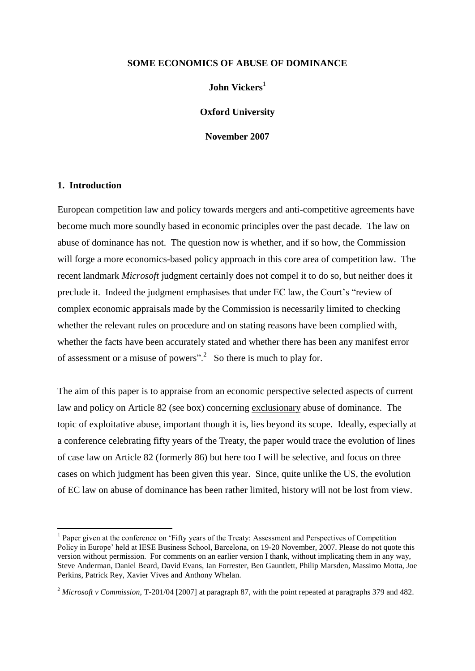#### **SOME ECONOMICS OF ABUSE OF DOMINANCE**

**John Vickers**<sup>1</sup>

**Oxford University**

**November 2007**

#### **1. Introduction**

1

European competition law and policy towards mergers and anti-competitive agreements have become much more soundly based in economic principles over the past decade. The law on abuse of dominance has not. The question now is whether, and if so how, the Commission will forge a more economics-based policy approach in this core area of competition law. The recent landmark *Microsoft* judgment certainly does not compel it to do so, but neither does it preclude it. Indeed the judgment emphasises that under EC law, the Court's "review of complex economic appraisals made by the Commission is necessarily limited to checking whether the relevant rules on procedure and on stating reasons have been complied with, whether the facts have been accurately stated and whether there has been any manifest error of assessment or a misuse of powers".<sup>2</sup> So there is much to play for.

The aim of this paper is to appraise from an economic perspective selected aspects of current law and policy on Article 82 (see box) concerning exclusionary abuse of dominance. The topic of exploitative abuse, important though it is, lies beyond its scope. Ideally, especially at a conference celebrating fifty years of the Treaty, the paper would trace the evolution of lines of case law on Article 82 (formerly 86) but here too I will be selective, and focus on three cases on which judgment has been given this year. Since, quite unlike the US, the evolution of EC law on abuse of dominance has been rather limited, history will not be lost from view.

<sup>&</sup>lt;sup>1</sup> Paper given at the conference on 'Fifty years of the Treaty: Assessment and Perspectives of Competition Policy in Europe' held at IESE Business School, Barcelona, on 19-20 November, 2007. Please do not quote this version without permission. For comments on an earlier version I thank, without implicating them in any way, Steve Anderman, Daniel Beard, David Evans, Ian Forrester, Ben Gauntlett, Philip Marsden, Massimo Motta, Joe Perkins, Patrick Rey, Xavier Vives and Anthony Whelan.

<sup>2</sup> *Microsoft v Commission*, T-201/04 [2007] at paragraph 87, with the point repeated at paragraphs 379 and 482.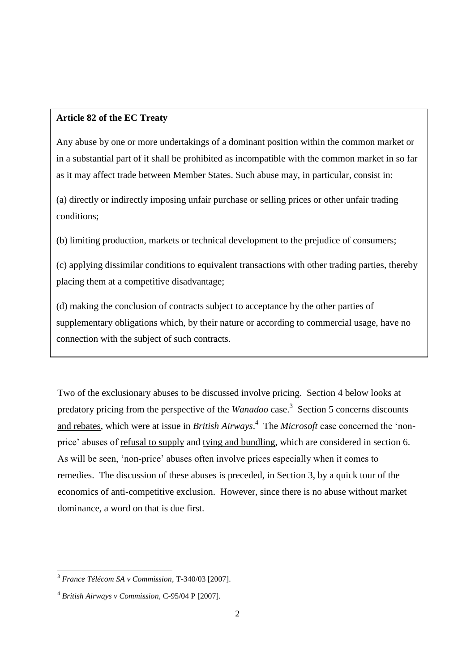## **Article 82 of the EC Treaty**

Any abuse by one or more undertakings of a dominant position within the common market or in a substantial part of it shall be prohibited as incompatible with the common market in so far as it may affect trade between Member States. Such abuse may, in particular, consist in:

(a) directly or indirectly imposing unfair purchase or selling prices or other unfair trading conditions;

(b) limiting production, markets or technical development to the prejudice of consumers;

(c) applying dissimilar conditions to equivalent transactions with other trading parties, thereby placing them at a competitive disadvantage;

(d) making the conclusion of contracts subject to acceptance by the other parties of supplementary obligations which, by their nature or according to commercial usage, have no connection with the subject of such contracts.

Two of the exclusionary abuses to be discussed involve pricing. Section 4 below looks at predatory pricing from the perspective of the *Wanadoo* case.<sup>3</sup> Section 5 concerns discounts and rebates, which were at issue in *British Airways*. 4 The *Microsoft* case concerned the "nonprice" abuses of refusal to supply and tying and bundling, which are considered in section 6. As will be seen, "non-price" abuses often involve prices especially when it comes to remedies. The discussion of these abuses is preceded, in Section 3, by a quick tour of the economics of anti-competitive exclusion. However, since there is no abuse without market dominance, a word on that is due first.

<sup>3</sup> *France Télécom SA v Commission*, T-340/03 [2007].

<sup>4</sup> *British Airways v Commission*, C-95/04 P [2007].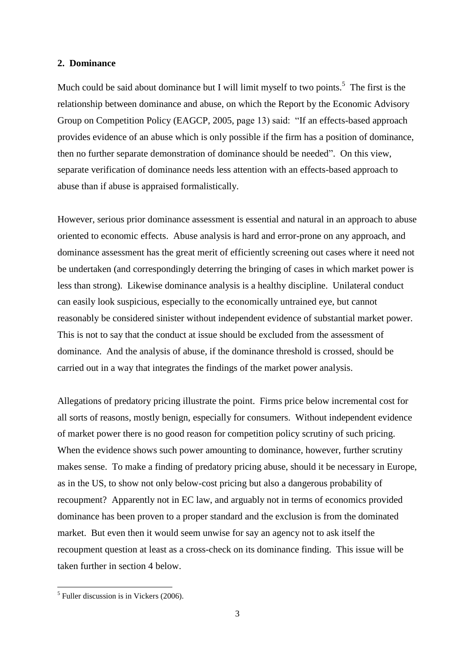#### **2. Dominance**

Much could be said about dominance but I will limit myself to two points.<sup>5</sup> The first is the relationship between dominance and abuse, on which the Report by the Economic Advisory Group on Competition Policy (EAGCP, 2005, page 13) said: "If an effects-based approach provides evidence of an abuse which is only possible if the firm has a position of dominance, then no further separate demonstration of dominance should be needed". On this view, separate verification of dominance needs less attention with an effects-based approach to abuse than if abuse is appraised formalistically.

However, serious prior dominance assessment is essential and natural in an approach to abuse oriented to economic effects. Abuse analysis is hard and error-prone on any approach, and dominance assessment has the great merit of efficiently screening out cases where it need not be undertaken (and correspondingly deterring the bringing of cases in which market power is less than strong). Likewise dominance analysis is a healthy discipline. Unilateral conduct can easily look suspicious, especially to the economically untrained eye, but cannot reasonably be considered sinister without independent evidence of substantial market power. This is not to say that the conduct at issue should be excluded from the assessment of dominance. And the analysis of abuse, if the dominance threshold is crossed, should be carried out in a way that integrates the findings of the market power analysis.

Allegations of predatory pricing illustrate the point. Firms price below incremental cost for all sorts of reasons, mostly benign, especially for consumers. Without independent evidence of market power there is no good reason for competition policy scrutiny of such pricing. When the evidence shows such power amounting to dominance, however, further scrutiny makes sense. To make a finding of predatory pricing abuse, should it be necessary in Europe, as in the US, to show not only below-cost pricing but also a dangerous probability of recoupment? Apparently not in EC law, and arguably not in terms of economics provided dominance has been proven to a proper standard and the exclusion is from the dominated market. But even then it would seem unwise for say an agency not to ask itself the recoupment question at least as a cross-check on its dominance finding. This issue will be taken further in section 4 below.

 5 Fuller discussion is in Vickers (2006).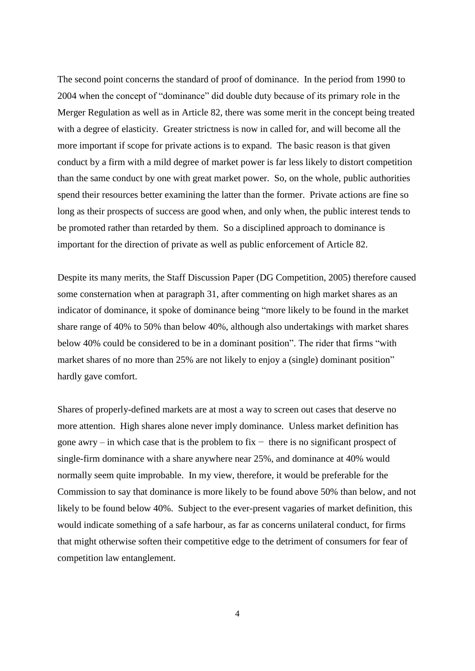The second point concerns the standard of proof of dominance. In the period from 1990 to 2004 when the concept of "dominance" did double duty because of its primary role in the Merger Regulation as well as in Article 82, there was some merit in the concept being treated with a degree of elasticity. Greater strictness is now in called for, and will become all the more important if scope for private actions is to expand. The basic reason is that given conduct by a firm with a mild degree of market power is far less likely to distort competition than the same conduct by one with great market power. So, on the whole, public authorities spend their resources better examining the latter than the former. Private actions are fine so long as their prospects of success are good when, and only when, the public interest tends to be promoted rather than retarded by them. So a disciplined approach to dominance is important for the direction of private as well as public enforcement of Article 82.

Despite its many merits, the Staff Discussion Paper (DG Competition, 2005) therefore caused some consternation when at paragraph 31, after commenting on high market shares as an indicator of dominance, it spoke of dominance being "more likely to be found in the market share range of 40% to 50% than below 40%, although also undertakings with market shares below 40% could be considered to be in a dominant position". The rider that firms "with market shares of no more than 25% are not likely to enjoy a (single) dominant position" hardly gave comfort.

Shares of properly-defined markets are at most a way to screen out cases that deserve no more attention. High shares alone never imply dominance. Unless market definition has gone awry – in which case that is the problem to fix – there is no significant prospect of single-firm dominance with a share anywhere near 25%, and dominance at 40% would normally seem quite improbable. In my view, therefore, it would be preferable for the Commission to say that dominance is more likely to be found above 50% than below, and not likely to be found below 40%. Subject to the ever-present vagaries of market definition, this would indicate something of a safe harbour, as far as concerns unilateral conduct, for firms that might otherwise soften their competitive edge to the detriment of consumers for fear of competition law entanglement.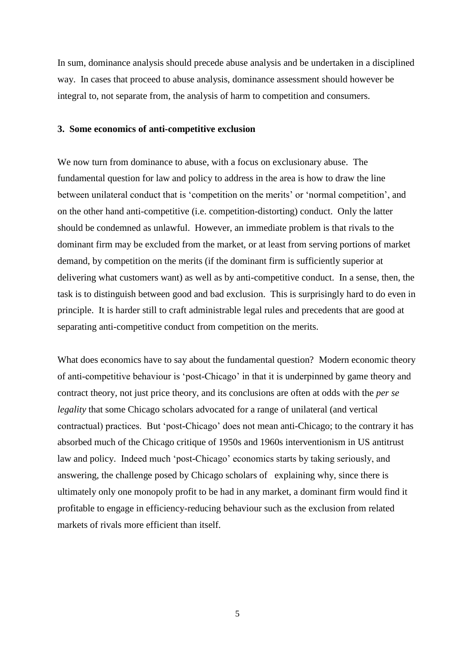In sum, dominance analysis should precede abuse analysis and be undertaken in a disciplined way. In cases that proceed to abuse analysis, dominance assessment should however be integral to, not separate from, the analysis of harm to competition and consumers.

## **3. Some economics of anti-competitive exclusion**

We now turn from dominance to abuse, with a focus on exclusionary abuse. The fundamental question for law and policy to address in the area is how to draw the line between unilateral conduct that is 'competition on the merits' or 'normal competition', and on the other hand anti-competitive (i.e. competition-distorting) conduct. Only the latter should be condemned as unlawful. However, an immediate problem is that rivals to the dominant firm may be excluded from the market, or at least from serving portions of market demand, by competition on the merits (if the dominant firm is sufficiently superior at delivering what customers want) as well as by anti-competitive conduct. In a sense, then, the task is to distinguish between good and bad exclusion. This is surprisingly hard to do even in principle. It is harder still to craft administrable legal rules and precedents that are good at separating anti-competitive conduct from competition on the merits.

What does economics have to say about the fundamental question? Modern economic theory of anti-competitive behaviour is "post-Chicago" in that it is underpinned by game theory and contract theory, not just price theory, and its conclusions are often at odds with the *per se legality* that some Chicago scholars advocated for a range of unilateral (and vertical contractual) practices. But "post-Chicago" does not mean anti-Chicago; to the contrary it has absorbed much of the Chicago critique of 1950s and 1960s interventionism in US antitrust law and policy. Indeed much "post-Chicago" economics starts by taking seriously, and answering, the challenge posed by Chicago scholars of explaining why, since there is ultimately only one monopoly profit to be had in any market, a dominant firm would find it profitable to engage in efficiency-reducing behaviour such as the exclusion from related markets of rivals more efficient than itself.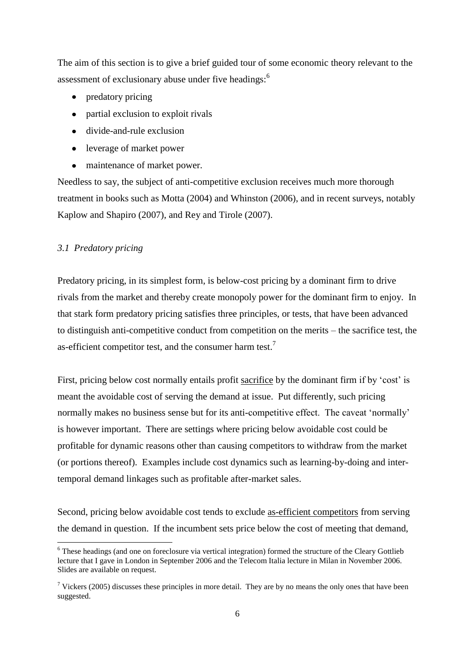The aim of this section is to give a brief guided tour of some economic theory relevant to the assessment of exclusionary abuse under five headings:<sup>6</sup>

- predatory pricing
- partial exclusion to exploit rivals
- divide-and-rule exclusion
- leverage of market power
- maintenance of market power.

Needless to say, the subject of anti-competitive exclusion receives much more thorough treatment in books such as Motta (2004) and Whinston (2006), and in recent surveys, notably Kaplow and Shapiro (2007), and Rey and Tirole (2007).

## *3.1 Predatory pricing*

**.** 

Predatory pricing, in its simplest form, is below-cost pricing by a dominant firm to drive rivals from the market and thereby create monopoly power for the dominant firm to enjoy. In that stark form predatory pricing satisfies three principles, or tests, that have been advanced to distinguish anti-competitive conduct from competition on the merits – the sacrifice test, the as-efficient competitor test, and the consumer harm test.<sup>7</sup>

First, pricing below cost normally entails profit sacrifice by the dominant firm if by 'cost' is meant the avoidable cost of serving the demand at issue. Put differently, such pricing normally makes no business sense but for its anti-competitive effect. The caveat 'normally' is however important. There are settings where pricing below avoidable cost could be profitable for dynamic reasons other than causing competitors to withdraw from the market (or portions thereof). Examples include cost dynamics such as learning-by-doing and intertemporal demand linkages such as profitable after-market sales.

Second, pricing below avoidable cost tends to exclude as-efficient competitors from serving the demand in question. If the incumbent sets price below the cost of meeting that demand,

<sup>&</sup>lt;sup>6</sup> These headings (and one on foreclosure via vertical integration) formed the structure of the Cleary Gottlieb lecture that I gave in London in September 2006 and the Telecom Italia lecture in Milan in November 2006. Slides are available on request.

 $\frac{7}{1}$  Vickers (2005) discusses these principles in more detail. They are by no means the only ones that have been suggested.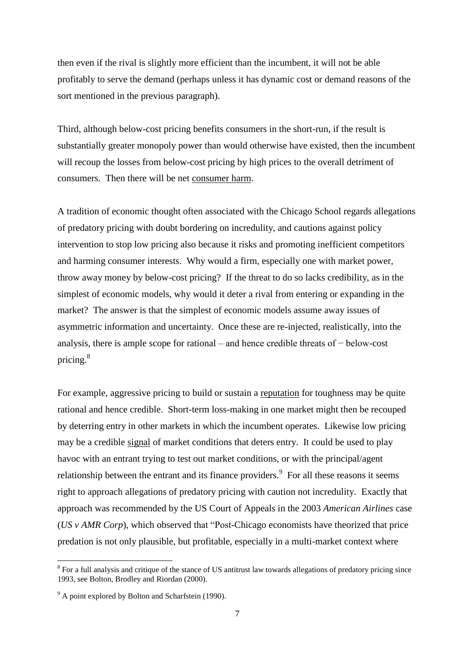then even if the rival is slightly more efficient than the incumbent, it will not be able profitably to serve the demand (perhaps unless it has dynamic cost or demand reasons of the sort mentioned in the previous paragraph).

Third, although below-cost pricing benefits consumers in the short-run, if the result is substantially greater monopoly power than would otherwise have existed, then the incumbent will recoup the losses from below-cost pricing by high prices to the overall detriment of consumers. Then there will be net consumer harm.

A tradition of economic thought often associated with the Chicago School regards allegations of predatory pricing with doubt bordering on incredulity, and cautions against policy intervention to stop low pricing also because it risks and promoting inefficient competitors and harming consumer interests. Why would a firm, especially one with market power, throw away money by below-cost pricing? If the threat to do so lacks credibility, as in the simplest of economic models, why would it deter a rival from entering or expanding in the market? The answer is that the simplest of economic models assume away issues of asymmetric information and uncertainty. Once these are re-injected, realistically, into the analysis, there is ample scope for rational – and hence credible threats of − below-cost pricing.<sup>8</sup>

For example, aggressive pricing to build or sustain a reputation for toughness may be quite rational and hence credible. Short-term loss-making in one market might then be recouped by deterring entry in other markets in which the incumbent operates. Likewise low pricing may be a credible signal of market conditions that deters entry. It could be used to play havoc with an entrant trying to test out market conditions, or with the principal/agent relationship between the entrant and its finance providers.<sup>9</sup> For all these reasons it seems right to approach allegations of predatory pricing with caution not incredulity. Exactly that approach was recommended by the US Court of Appeals in the 2003 *American Airlines* case (*US v AMR Corp*), which observed that "Post-Chicago economists have theorized that price predation is not only plausible, but profitable, especially in a multi-market context where

<sup>&</sup>lt;sup>8</sup> For a full analysis and critique of the stance of US antitrust law towards allegations of predatory pricing since 1993, see Bolton, Brodley and Riordan (2000).

 $9$  A point explored by Bolton and Scharfstein (1990).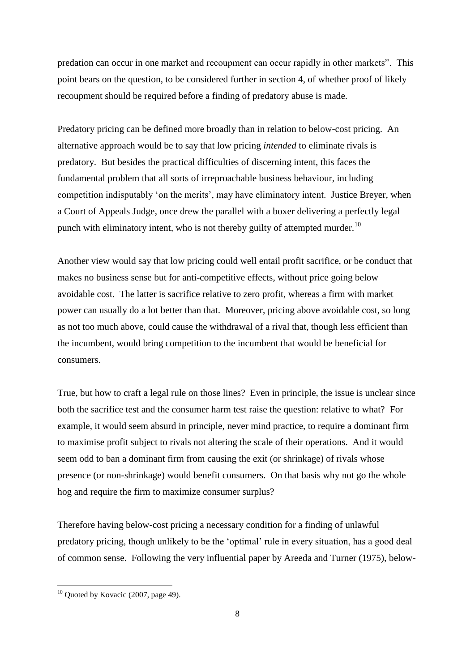predation can occur in one market and recoupment can occur rapidly in other markets". This point bears on the question, to be considered further in section 4, of whether proof of likely recoupment should be required before a finding of predatory abuse is made.

Predatory pricing can be defined more broadly than in relation to below-cost pricing. An alternative approach would be to say that low pricing *intended* to eliminate rivals is predatory. But besides the practical difficulties of discerning intent, this faces the fundamental problem that all sorts of irreproachable business behaviour, including competition indisputably 'on the merits', may have eliminatory intent. Justice Breyer, when a Court of Appeals Judge, once drew the parallel with a boxer delivering a perfectly legal punch with eliminatory intent, who is not thereby guilty of attempted murder.<sup>10</sup>

Another view would say that low pricing could well entail profit sacrifice, or be conduct that makes no business sense but for anti-competitive effects, without price going below avoidable cost. The latter is sacrifice relative to zero profit, whereas a firm with market power can usually do a lot better than that. Moreover, pricing above avoidable cost, so long as not too much above, could cause the withdrawal of a rival that, though less efficient than the incumbent, would bring competition to the incumbent that would be beneficial for consumers.

True, but how to craft a legal rule on those lines? Even in principle, the issue is unclear since both the sacrifice test and the consumer harm test raise the question: relative to what? For example, it would seem absurd in principle, never mind practice, to require a dominant firm to maximise profit subject to rivals not altering the scale of their operations. And it would seem odd to ban a dominant firm from causing the exit (or shrinkage) of rivals whose presence (or non-shrinkage) would benefit consumers. On that basis why not go the whole hog and require the firm to maximize consumer surplus?

Therefore having below-cost pricing a necessary condition for a finding of unlawful predatory pricing, though unlikely to be the "optimal" rule in every situation, has a good deal of common sense. Following the very influential paper by Areeda and Turner (1975), below-

 $10$  Quoted by Kovacic (2007, page 49).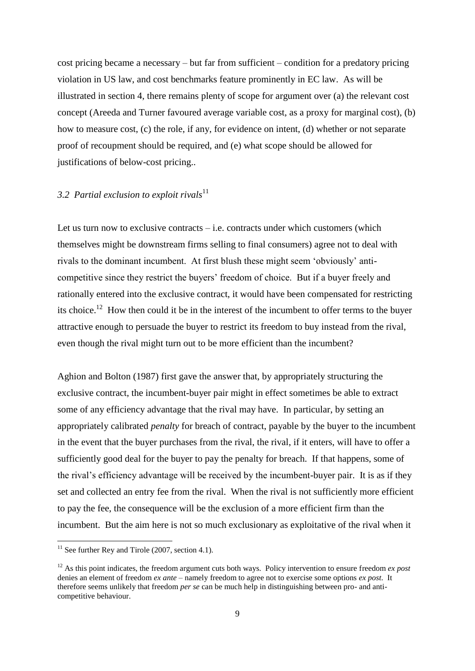cost pricing became a necessary – but far from sufficient – condition for a predatory pricing violation in US law, and cost benchmarks feature prominently in EC law. As will be illustrated in section 4, there remains plenty of scope for argument over (a) the relevant cost concept (Areeda and Turner favoured average variable cost, as a proxy for marginal cost), (b) how to measure cost, (c) the role, if any, for evidence on intent, (d) whether or not separate proof of recoupment should be required, and (e) what scope should be allowed for justifications of below-cost pricing..

# 3.2 Partial exclusion to exploit rivals<sup>11</sup>

Let us turn now to exclusive contracts – i.e. contracts under which customers (which themselves might be downstream firms selling to final consumers) agree not to deal with rivals to the dominant incumbent. At first blush these might seem "obviously" anticompetitive since they restrict the buyers" freedom of choice. But if a buyer freely and rationally entered into the exclusive contract, it would have been compensated for restricting its choice.<sup>12</sup> How then could it be in the interest of the incumbent to offer terms to the buyer attractive enough to persuade the buyer to restrict its freedom to buy instead from the rival, even though the rival might turn out to be more efficient than the incumbent?

Aghion and Bolton (1987) first gave the answer that, by appropriately structuring the exclusive contract, the incumbent-buyer pair might in effect sometimes be able to extract some of any efficiency advantage that the rival may have. In particular, by setting an appropriately calibrated *penalty* for breach of contract, payable by the buyer to the incumbent in the event that the buyer purchases from the rival, the rival, if it enters, will have to offer a sufficiently good deal for the buyer to pay the penalty for breach. If that happens, some of the rival"s efficiency advantage will be received by the incumbent-buyer pair. It is as if they set and collected an entry fee from the rival. When the rival is not sufficiently more efficient to pay the fee, the consequence will be the exclusion of a more efficient firm than the incumbent. But the aim here is not so much exclusionary as exploitative of the rival when it

 $11$  See further Rey and Tirole (2007, section 4.1).

<sup>&</sup>lt;sup>12</sup> As this point indicates, the freedom argument cuts both ways. Policy intervention to ensure freedom *ex post* denies an element of freedom *ex ante* – namely freedom to agree not to exercise some options *ex post*. It therefore seems unlikely that freedom *per se* can be much help in distinguishing between pro- and anticompetitive behaviour.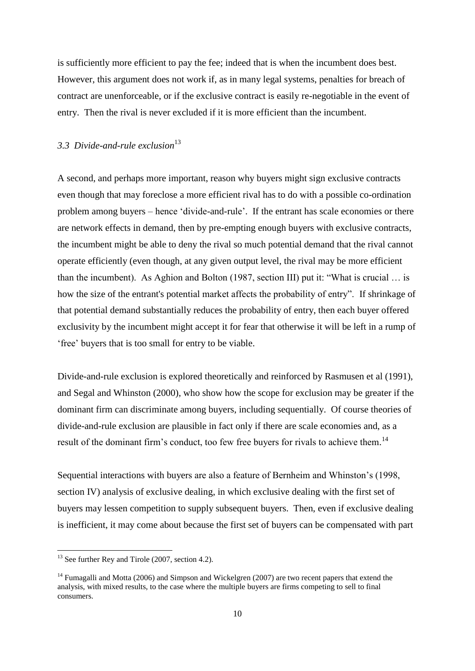is sufficiently more efficient to pay the fee; indeed that is when the incumbent does best. However, this argument does not work if, as in many legal systems, penalties for breach of contract are unenforceable, or if the exclusive contract is easily re-negotiable in the event of entry. Then the rival is never excluded if it is more efficient than the incumbent.

# 3.3 Divide-and-rule exclusion<sup>13</sup>

A second, and perhaps more important, reason why buyers might sign exclusive contracts even though that may foreclose a more efficient rival has to do with a possible co-ordination problem among buyers – hence "divide-and-rule". If the entrant has scale economies or there are network effects in demand, then by pre-empting enough buyers with exclusive contracts, the incumbent might be able to deny the rival so much potential demand that the rival cannot operate efficiently (even though, at any given output level, the rival may be more efficient than the incumbent). As Aghion and Bolton (1987, section III) put it: "What is crucial … is how the size of the entrant's potential market affects the probability of entry". If shrinkage of that potential demand substantially reduces the probability of entry, then each buyer offered exclusivity by the incumbent might accept it for fear that otherwise it will be left in a rump of "free" buyers that is too small for entry to be viable.

Divide-and-rule exclusion is explored theoretically and reinforced by Rasmusen et al (1991), and Segal and Whinston (2000), who show how the scope for exclusion may be greater if the dominant firm can discriminate among buyers, including sequentially. Of course theories of divide-and-rule exclusion are plausible in fact only if there are scale economies and, as a result of the dominant firm's conduct, too few free buyers for rivals to achieve them.<sup>14</sup>

Sequential interactions with buyers are also a feature of Bernheim and Whinston"s (1998, section IV) analysis of exclusive dealing, in which exclusive dealing with the first set of buyers may lessen competition to supply subsequent buyers. Then, even if exclusive dealing is inefficient, it may come about because the first set of buyers can be compensated with part

 $13$  See further Rey and Tirole (2007, section 4.2).

<sup>&</sup>lt;sup>14</sup> Fumagalli and Motta (2006) and Simpson and Wickelgren (2007) are two recent papers that extend the analysis, with mixed results, to the case where the multiple buyers are firms competing to sell to final consumers.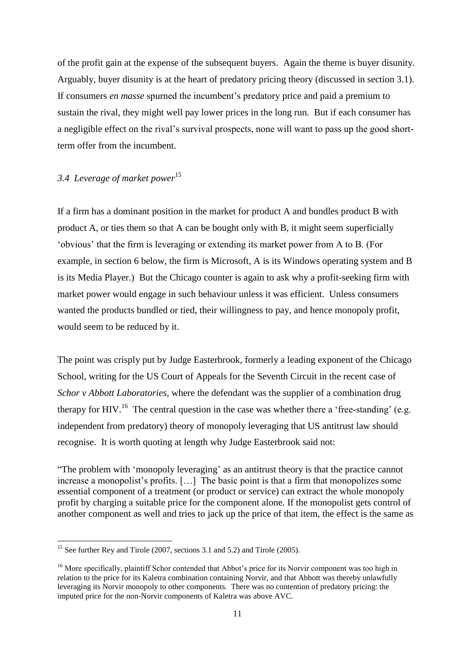of the profit gain at the expense of the subsequent buyers. Again the theme is buyer disunity. Arguably, buyer disunity is at the heart of predatory pricing theory (discussed in section 3.1). If consumers *en masse* spurned the incumbent's predatory price and paid a premium to sustain the rival, they might well pay lower prices in the long run. But if each consumer has a negligible effect on the rival"s survival prospects, none will want to pass up the good shortterm offer from the incumbent.

# *3.4 Leverage of market power*<sup>15</sup>

If a firm has a dominant position in the market for product A and bundles product B with product A, or ties them so that A can be bought only with B, it might seem superficially "obvious" that the firm is leveraging or extending its market power from A to B. (For example, in section 6 below, the firm is Microsoft, A is its Windows operating system and B is its Media Player.) But the Chicago counter is again to ask why a profit-seeking firm with market power would engage in such behaviour unless it was efficient. Unless consumers wanted the products bundled or tied, their willingness to pay, and hence monopoly profit, would seem to be reduced by it.

The point was crisply put by Judge Easterbrook, formerly a leading exponent of the Chicago School, writing for the US Court of Appeals for the Seventh Circuit in the recent case of *Schor v Abbott Laboratories*, where the defendant was the supplier of a combination drug therapy for HIV.<sup>16</sup> The central question in the case was whether there a 'free-standing' (e.g. independent from predatory) theory of monopoly leveraging that US antitrust law should recognise. It is worth quoting at length why Judge Easterbrook said not:

"The problem with 'monopoly leveraging' as an antitrust theory is that the practice cannot increase a monopolist's profits. [...] The basic point is that a firm that monopolizes some essential component of a treatment (or product or service) can extract the whole monopoly profit by charging a suitable price for the component alone. If the monopolist gets control of another component as well and tries to jack up the price of that item, the effect is the same as

<sup>&</sup>lt;sup>15</sup> See further Rey and Tirole (2007, sections 3.1 and 5.2) and Tirole (2005).

<sup>&</sup>lt;sup>16</sup> More specifically, plaintiff Schor contended that Abbot's price for its Norvir component was too high in relation to the price for its Kaletra combination containing Norvir, and that Abbott was thereby unlawfully leveraging its Norvir monopoly to other components. There was no contention of predatory pricing: the imputed price for the non-Norvir components of Kaletra was above AVC.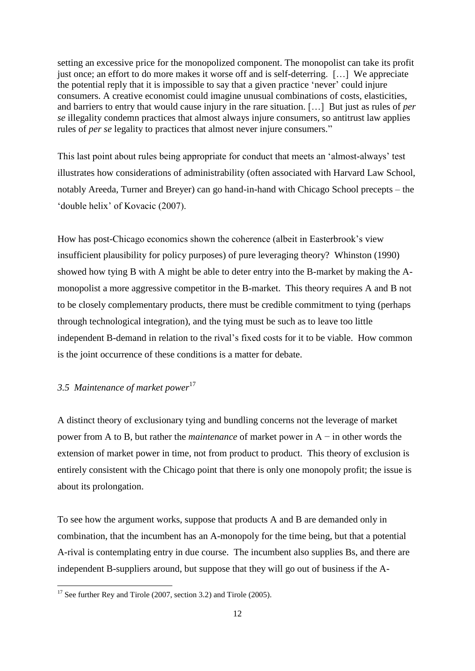setting an excessive price for the monopolized component. The monopolist can take its profit just once; an effort to do more makes it worse off and is self-deterring. […] We appreciate the potential reply that it is impossible to say that a given practice "never" could injure consumers. A creative economist could imagine unusual combinations of costs, elasticities, and barriers to entry that would cause injury in the rare situation. […] But just as rules of *per se* illegality condemn practices that almost always injure consumers, so antitrust law applies rules of *per se* legality to practices that almost never injure consumers."

This last point about rules being appropriate for conduct that meets an "almost-always" test illustrates how considerations of administrability (often associated with Harvard Law School, notably Areeda, Turner and Breyer) can go hand-in-hand with Chicago School precepts – the "double helix" of Kovacic (2007).

How has post-Chicago economics shown the coherence (albeit in Easterbrook"s view insufficient plausibility for policy purposes) of pure leveraging theory? Whinston (1990) showed how tying B with A might be able to deter entry into the B-market by making the Amonopolist a more aggressive competitor in the B-market. This theory requires A and B not to be closely complementary products, there must be credible commitment to tying (perhaps through technological integration), and the tying must be such as to leave too little independent B-demand in relation to the rival"s fixed costs for it to be viable. How common is the joint occurrence of these conditions is a matter for debate.

# 3.5 Maintenance of market power<sup>17</sup>

**.** 

A distinct theory of exclusionary tying and bundling concerns not the leverage of market power from A to B, but rather the *maintenance* of market power in A − in other words the extension of market power in time, not from product to product. This theory of exclusion is entirely consistent with the Chicago point that there is only one monopoly profit; the issue is about its prolongation.

To see how the argument works, suppose that products A and B are demanded only in combination, that the incumbent has an A-monopoly for the time being, but that a potential A-rival is contemplating entry in due course. The incumbent also supplies Bs, and there are independent B-suppliers around, but suppose that they will go out of business if the A-

 $17$  See further Rey and Tirole (2007, section 3.2) and Tirole (2005).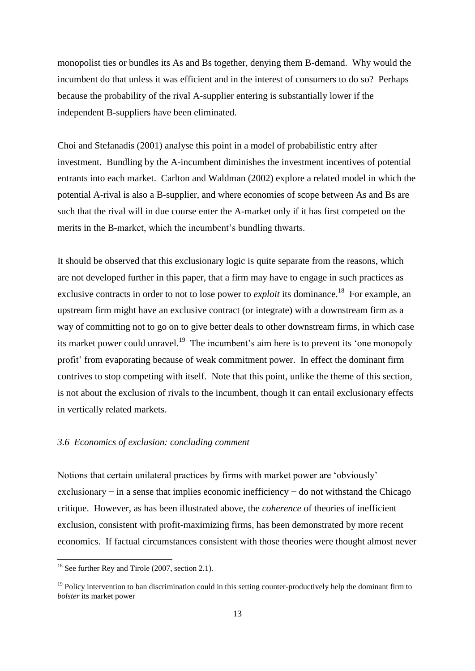monopolist ties or bundles its As and Bs together, denying them B-demand. Why would the incumbent do that unless it was efficient and in the interest of consumers to do so? Perhaps because the probability of the rival A-supplier entering is substantially lower if the independent B-suppliers have been eliminated.

Choi and Stefanadis (2001) analyse this point in a model of probabilistic entry after investment. Bundling by the A-incumbent diminishes the investment incentives of potential entrants into each market. Carlton and Waldman (2002) explore a related model in which the potential A-rival is also a B-supplier, and where economies of scope between As and Bs are such that the rival will in due course enter the A-market only if it has first competed on the merits in the B-market, which the incumbent's bundling thwarts.

It should be observed that this exclusionary logic is quite separate from the reasons, which are not developed further in this paper, that a firm may have to engage in such practices as exclusive contracts in order to not to lose power to *exploit* its dominance.<sup>18</sup> For example, an upstream firm might have an exclusive contract (or integrate) with a downstream firm as a way of committing not to go on to give better deals to other downstream firms, in which case its market power could unravel.<sup>19</sup> The incumbent's aim here is to prevent its 'one monopoly profit' from evaporating because of weak commitment power. In effect the dominant firm contrives to stop competing with itself. Note that this point, unlike the theme of this section, is not about the exclusion of rivals to the incumbent, though it can entail exclusionary effects in vertically related markets.

#### *3.6 Economics of exclusion: concluding comment*

Notions that certain unilateral practices by firms with market power are "obviously" exclusionary – in a sense that implies economic inefficiency – do not withstand the Chicago critique. However, as has been illustrated above, the *coherence* of theories of inefficient exclusion, consistent with profit-maximizing firms, has been demonstrated by more recent economics. If factual circumstances consistent with those theories were thought almost never

 $18$  See further Rey and Tirole (2007, section 2.1).

 $19$  Policy intervention to ban discrimination could in this setting counter-productively help the dominant firm to *bolster* its market power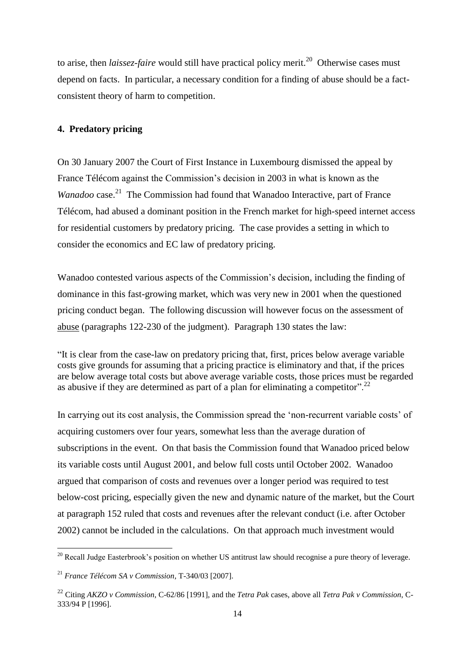to arise, then *laissez-faire* would still have practical policy merit.<sup>20</sup> Otherwise cases must depend on facts. In particular, a necessary condition for a finding of abuse should be a factconsistent theory of harm to competition.

### **4. Predatory pricing**

On 30 January 2007 the Court of First Instance in Luxembourg dismissed the appeal by France Télécom against the Commission"s decision in 2003 in what is known as the *Wanadoo* case.<sup>21</sup> The Commission had found that Wanadoo Interactive, part of France Télécom, had abused a dominant position in the French market for high-speed internet access for residential customers by predatory pricing. The case provides a setting in which to consider the economics and EC law of predatory pricing.

Wanadoo contested various aspects of the Commission"s decision, including the finding of dominance in this fast-growing market, which was very new in 2001 when the questioned pricing conduct began. The following discussion will however focus on the assessment of abuse (paragraphs 122-230 of the judgment). Paragraph 130 states the law:

"It is clear from the case-law on predatory pricing that, first, prices below average variable costs give grounds for assuming that a pricing practice is eliminatory and that, if the prices are below average total costs but above average variable costs, those prices must be regarded as abusive if they are determined as part of a plan for eliminating a competitor".<sup>22</sup>

In carrying out its cost analysis, the Commission spread the 'non-recurrent variable costs' of acquiring customers over four years, somewhat less than the average duration of subscriptions in the event. On that basis the Commission found that Wanadoo priced below its variable costs until August 2001, and below full costs until October 2002. Wanadoo argued that comparison of costs and revenues over a longer period was required to test below-cost pricing, especially given the new and dynamic nature of the market, but the Court at paragraph 152 ruled that costs and revenues after the relevant conduct (i.e. after October 2002) cannot be included in the calculations. On that approach much investment would

<sup>&</sup>lt;sup>20</sup> Recall Judge Easterbrook's position on whether US antitrust law should recognise a pure theory of leverage.

<sup>21</sup> *France Télécom SA v Commission*, T-340/03 [2007].

<sup>22</sup> Citing *AKZO v Commission*, C-62/86 [1991], and the *Tetra Pak* cases, above all *Tetra Pak v Commission*, C-333/94 P [1996].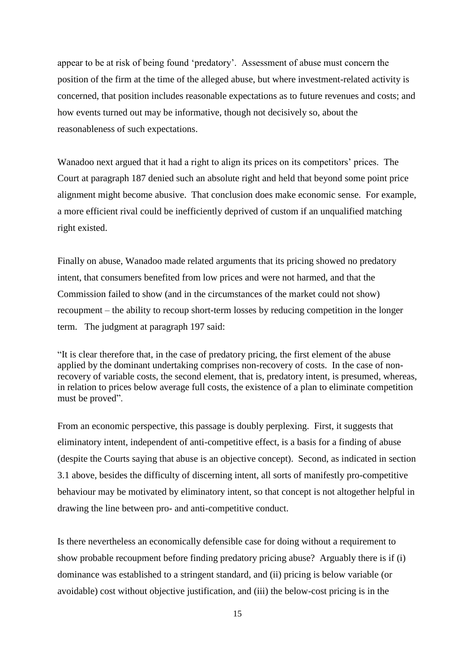appear to be at risk of being found "predatory". Assessment of abuse must concern the position of the firm at the time of the alleged abuse, but where investment-related activity is concerned, that position includes reasonable expectations as to future revenues and costs; and how events turned out may be informative, though not decisively so, about the reasonableness of such expectations.

Wanadoo next argued that it had a right to align its prices on its competitors' prices. The Court at paragraph 187 denied such an absolute right and held that beyond some point price alignment might become abusive. That conclusion does make economic sense. For example, a more efficient rival could be inefficiently deprived of custom if an unqualified matching right existed.

Finally on abuse, Wanadoo made related arguments that its pricing showed no predatory intent, that consumers benefited from low prices and were not harmed, and that the Commission failed to show (and in the circumstances of the market could not show) recoupment – the ability to recoup short-term losses by reducing competition in the longer term. The judgment at paragraph 197 said:

"It is clear therefore that, in the case of predatory pricing, the first element of the abuse applied by the dominant undertaking comprises non-recovery of costs. In the case of nonrecovery of variable costs, the second element, that is, predatory intent, is presumed, whereas, in relation to prices below average full costs, the existence of a plan to eliminate competition must be proved".

From an economic perspective, this passage is doubly perplexing. First, it suggests that eliminatory intent, independent of anti-competitive effect, is a basis for a finding of abuse (despite the Courts saying that abuse is an objective concept). Second, as indicated in section 3.1 above, besides the difficulty of discerning intent, all sorts of manifestly pro-competitive behaviour may be motivated by eliminatory intent, so that concept is not altogether helpful in drawing the line between pro- and anti-competitive conduct.

Is there nevertheless an economically defensible case for doing without a requirement to show probable recoupment before finding predatory pricing abuse? Arguably there is if (i) dominance was established to a stringent standard, and (ii) pricing is below variable (or avoidable) cost without objective justification, and (iii) the below-cost pricing is in the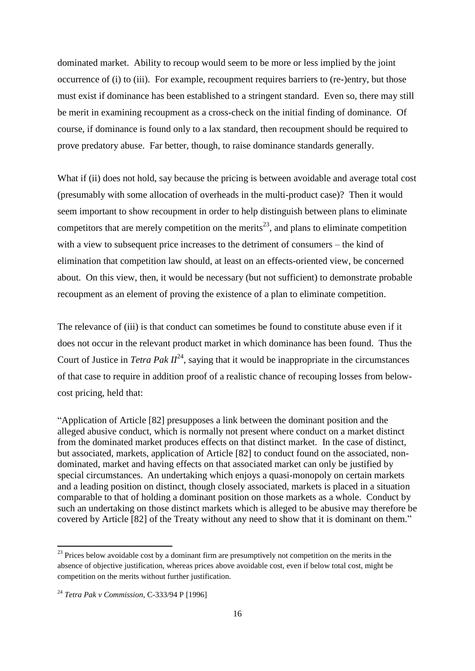dominated market. Ability to recoup would seem to be more or less implied by the joint occurrence of (i) to (iii). For example, recoupment requires barriers to (re-)entry, but those must exist if dominance has been established to a stringent standard. Even so, there may still be merit in examining recoupment as a cross-check on the initial finding of dominance. Of course, if dominance is found only to a lax standard, then recoupment should be required to prove predatory abuse. Far better, though, to raise dominance standards generally.

What if (ii) does not hold, say because the pricing is between avoidable and average total cost (presumably with some allocation of overheads in the multi-product case)? Then it would seem important to show recoupment in order to help distinguish between plans to eliminate competitors that are merely competition on the merits<sup>23</sup>, and plans to eliminate competition with a view to subsequent price increases to the detriment of consumers – the kind of elimination that competition law should, at least on an effects-oriented view, be concerned about. On this view, then, it would be necessary (but not sufficient) to demonstrate probable recoupment as an element of proving the existence of a plan to eliminate competition.

The relevance of (iii) is that conduct can sometimes be found to constitute abuse even if it does not occur in the relevant product market in which dominance has been found. Thus the Court of Justice in *Tetra Pak II*<sup>24</sup>, saying that it would be inappropriate in the circumstances of that case to require in addition proof of a realistic chance of recouping losses from belowcost pricing, held that:

"Application of Article [82] presupposes a link between the dominant position and the alleged abusive conduct, which is normally not present where conduct on a market distinct from the dominated market produces effects on that distinct market. In the case of distinct, but associated, markets, application of Article [82] to conduct found on the associated, nondominated, market and having effects on that associated market can only be justified by special circumstances. An undertaking which enjoys a quasi-monopoly on certain markets and a leading position on distinct, though closely associated, markets is placed in a situation comparable to that of holding a dominant position on those markets as a whole. Conduct by such an undertaking on those distinct markets which is alleged to be abusive may therefore be covered by Article [82] of the Treaty without any need to show that it is dominant on them."

 $2<sup>23</sup>$  Prices below avoidable cost by a dominant firm are presumptively not competition on the merits in the absence of objective justification, whereas prices above avoidable cost, even if below total cost, might be competition on the merits without further justification.

<sup>24</sup> *Tetra Pak v Commission*, C-333/94 P [1996]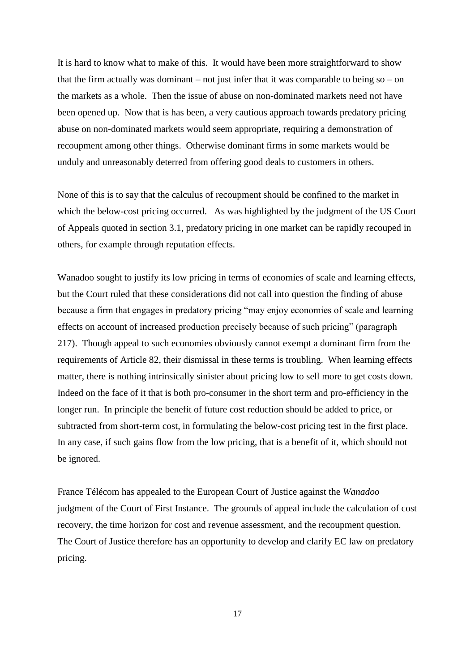It is hard to know what to make of this. It would have been more straightforward to show that the firm actually was dominant – not just infer that it was comparable to being so – on the markets as a whole. Then the issue of abuse on non-dominated markets need not have been opened up. Now that is has been, a very cautious approach towards predatory pricing abuse on non-dominated markets would seem appropriate, requiring a demonstration of recoupment among other things. Otherwise dominant firms in some markets would be unduly and unreasonably deterred from offering good deals to customers in others.

None of this is to say that the calculus of recoupment should be confined to the market in which the below-cost pricing occurred. As was highlighted by the judgment of the US Court of Appeals quoted in section 3.1, predatory pricing in one market can be rapidly recouped in others, for example through reputation effects.

Wanadoo sought to justify its low pricing in terms of economies of scale and learning effects, but the Court ruled that these considerations did not call into question the finding of abuse because a firm that engages in predatory pricing "may enjoy economies of scale and learning effects on account of increased production precisely because of such pricing" (paragraph 217). Though appeal to such economies obviously cannot exempt a dominant firm from the requirements of Article 82, their dismissal in these terms is troubling. When learning effects matter, there is nothing intrinsically sinister about pricing low to sell more to get costs down. Indeed on the face of it that is both pro-consumer in the short term and pro-efficiency in the longer run. In principle the benefit of future cost reduction should be added to price, or subtracted from short-term cost, in formulating the below-cost pricing test in the first place. In any case, if such gains flow from the low pricing, that is a benefit of it, which should not be ignored.

France Télécom has appealed to the European Court of Justice against the *Wanadoo* judgment of the Court of First Instance. The grounds of appeal include the calculation of cost recovery, the time horizon for cost and revenue assessment, and the recoupment question. The Court of Justice therefore has an opportunity to develop and clarify EC law on predatory pricing.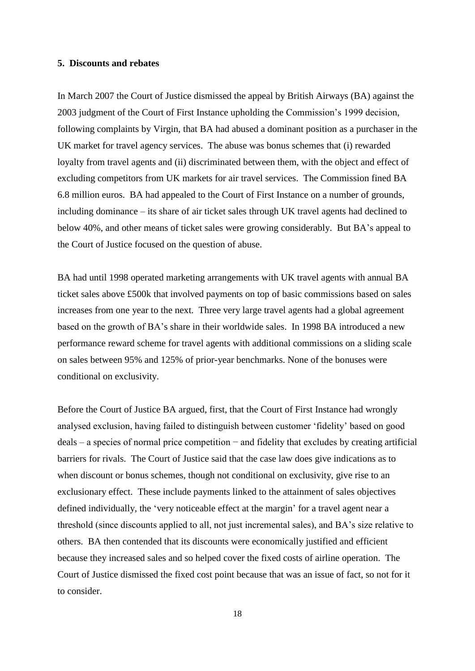#### **5. Discounts and rebates**

In March 2007 the Court of Justice dismissed the appeal by British Airways (BA) against the 2003 judgment of the Court of First Instance upholding the Commission"s 1999 decision, following complaints by Virgin, that BA had abused a dominant position as a purchaser in the UK market for travel agency services. The abuse was bonus schemes that (i) rewarded loyalty from travel agents and (ii) discriminated between them, with the object and effect of excluding competitors from UK markets for air travel services. The Commission fined BA 6.8 million euros. BA had appealed to the Court of First Instance on a number of grounds, including dominance – its share of air ticket sales through UK travel agents had declined to below 40%, and other means of ticket sales were growing considerably. But BA"s appeal to the Court of Justice focused on the question of abuse.

BA had until 1998 operated marketing arrangements with UK travel agents with annual BA ticket sales above £500k that involved payments on top of basic commissions based on sales increases from one year to the next. Three very large travel agents had a global agreement based on the growth of BA"s share in their worldwide sales. In 1998 BA introduced a new performance reward scheme for travel agents with additional commissions on a sliding scale on sales between 95% and 125% of prior-year benchmarks. None of the bonuses were conditional on exclusivity.

Before the Court of Justice BA argued, first, that the Court of First Instance had wrongly analysed exclusion, having failed to distinguish between customer "fidelity" based on good deals – a species of normal price competition − and fidelity that excludes by creating artificial barriers for rivals. The Court of Justice said that the case law does give indications as to when discount or bonus schemes, though not conditional on exclusivity, give rise to an exclusionary effect. These include payments linked to the attainment of sales objectives defined individually, the 'very noticeable effect at the margin' for a travel agent near a threshold (since discounts applied to all, not just incremental sales), and BA"s size relative to others. BA then contended that its discounts were economically justified and efficient because they increased sales and so helped cover the fixed costs of airline operation. The Court of Justice dismissed the fixed cost point because that was an issue of fact, so not for it to consider.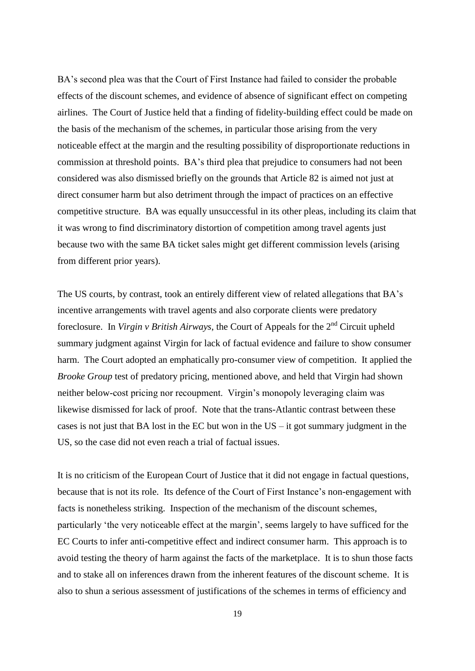BA's second plea was that the Court of First Instance had failed to consider the probable effects of the discount schemes, and evidence of absence of significant effect on competing airlines. The Court of Justice held that a finding of fidelity-building effect could be made on the basis of the mechanism of the schemes, in particular those arising from the very noticeable effect at the margin and the resulting possibility of disproportionate reductions in commission at threshold points. BA"s third plea that prejudice to consumers had not been considered was also dismissed briefly on the grounds that Article 82 is aimed not just at direct consumer harm but also detriment through the impact of practices on an effective competitive structure. BA was equally unsuccessful in its other pleas, including its claim that it was wrong to find discriminatory distortion of competition among travel agents just because two with the same BA ticket sales might get different commission levels (arising from different prior years).

The US courts, by contrast, took an entirely different view of related allegations that BA"s incentive arrangements with travel agents and also corporate clients were predatory foreclosure. In *Virgin v British Airways*, the Court of Appeals for the 2<sup>nd</sup> Circuit upheld summary judgment against Virgin for lack of factual evidence and failure to show consumer harm. The Court adopted an emphatically pro-consumer view of competition. It applied the *Brooke Group* test of predatory pricing, mentioned above, and held that Virgin had shown neither below-cost pricing nor recoupment. Virgin"s monopoly leveraging claim was likewise dismissed for lack of proof. Note that the trans-Atlantic contrast between these cases is not just that BA lost in the EC but won in the  $US - it$  got summary judgment in the US, so the case did not even reach a trial of factual issues.

It is no criticism of the European Court of Justice that it did not engage in factual questions, because that is not its role. Its defence of the Court of First Instance"s non-engagement with facts is nonetheless striking. Inspection of the mechanism of the discount schemes, particularly 'the very noticeable effect at the margin', seems largely to have sufficed for the EC Courts to infer anti-competitive effect and indirect consumer harm. This approach is to avoid testing the theory of harm against the facts of the marketplace. It is to shun those facts and to stake all on inferences drawn from the inherent features of the discount scheme. It is also to shun a serious assessment of justifications of the schemes in terms of efficiency and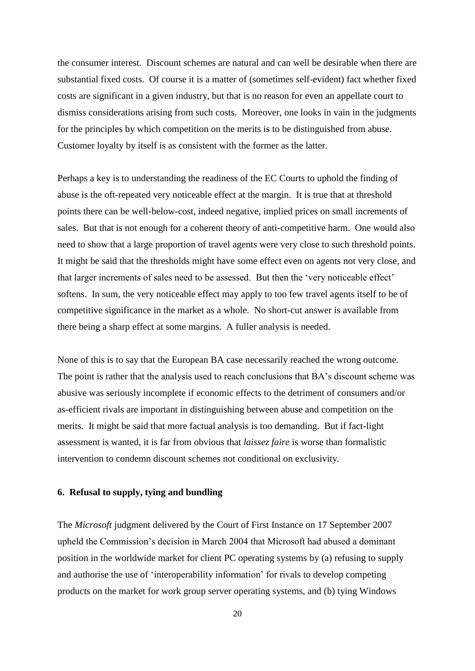the consumer interest. Discount schemes are natural and can well be desirable when there are substantial fixed costs. Of course it is a matter of (sometimes self-evident) fact whether fixed costs are significant in a given industry, but that is no reason for even an appellate court to dismiss considerations arising from such costs. Moreover, one looks in vain in the judgments for the principles by which competition on the merits is to be distinguished from abuse. Customer loyalty by itself is as consistent with the former as the latter.

Perhaps a key is to understanding the readiness of the EC Courts to uphold the finding of abuse is the oft-repeated very noticeable effect at the margin. It is true that at threshold points there can be well-below-cost, indeed negative, implied prices on small increments of sales. But that is not enough for a coherent theory of anti-competitive harm. One would also need to show that a large proportion of travel agents were very close to such threshold points. It might be said that the thresholds might have some effect even on agents not very close, and that larger increments of sales need to be assessed. But then the "very noticeable effect" softens. In sum, the very noticeable effect may apply to too few travel agents itself to be of competitive significance in the market as a whole. No short-cut answer is available from there being a sharp effect at some margins. A fuller analysis is needed.

None of this is to say that the European BA case necessarily reached the wrong outcome. The point is rather that the analysis used to reach conclusions that BA's discount scheme was abusive was seriously incomplete if economic effects to the detriment of consumers and/or as-efficient rivals are important in distinguishing between abuse and competition on the merits. It might be said that more factual analysis is too demanding. But if fact-light assessment is wanted, it is far from obvious that *laissez faire* is worse than formalistic intervention to condemn discount schemes not conditional on exclusivity.

#### **6. Refusal to supply, tying and bundling**

The *Microsoft* judgment delivered by the Court of First Instance on 17 September 2007 upheld the Commission"s decision in March 2004 that Microsoft had abused a dominant position in the worldwide market for client PC operating systems by (a) refusing to supply and authorise the use of "interoperability information" for rivals to develop competing products on the market for work group server operating systems, and (b) tying Windows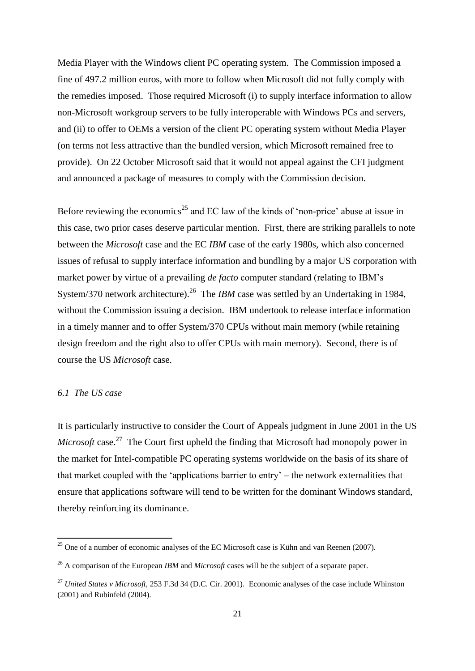Media Player with the Windows client PC operating system. The Commission imposed a fine of 497.2 million euros, with more to follow when Microsoft did not fully comply with the remedies imposed. Those required Microsoft (i) to supply interface information to allow non-Microsoft workgroup servers to be fully interoperable with Windows PCs and servers, and (ii) to offer to OEMs a version of the client PC operating system without Media Player (on terms not less attractive than the bundled version, which Microsoft remained free to provide). On 22 October Microsoft said that it would not appeal against the CFI judgment and announced a package of measures to comply with the Commission decision.

Before reviewing the economics<sup>25</sup> and EC law of the kinds of 'non-price' abuse at issue in this case, two prior cases deserve particular mention. First, there are striking parallels to note between the *Microsoft* case and the EC *IBM* case of the early 1980s, which also concerned issues of refusal to supply interface information and bundling by a major US corporation with market power by virtue of a prevailing *de facto* computer standard (relating to IBM"s System/370 network architecture).<sup>26</sup> The *IBM* case was settled by an Undertaking in 1984, without the Commission issuing a decision. IBM undertook to release interface information in a timely manner and to offer System/370 CPUs without main memory (while retaining design freedom and the right also to offer CPUs with main memory). Second, there is of course the US *Microsoft* case.

# *6.1 The US case*

1

It is particularly instructive to consider the Court of Appeals judgment in June 2001 in the US Microsoft case.<sup>27</sup> The Court first upheld the finding that Microsoft had monopoly power in the market for Intel-compatible PC operating systems worldwide on the basis of its share of that market coupled with the "applications barrier to entry" – the network externalities that ensure that applications software will tend to be written for the dominant Windows standard, thereby reinforcing its dominance.

 $25$  One of a number of economic analyses of the EC Microsoft case is Kühn and van Reenen (2007).

<sup>&</sup>lt;sup>26</sup> A comparison of the European *IBM* and *Microsoft* cases will be the subject of a separate paper.

<sup>27</sup> *United States v Microsoft*, 253 F.3d 34 (D.C. Cir. 2001). Economic analyses of the case include Whinston (2001) and Rubinfeld (2004).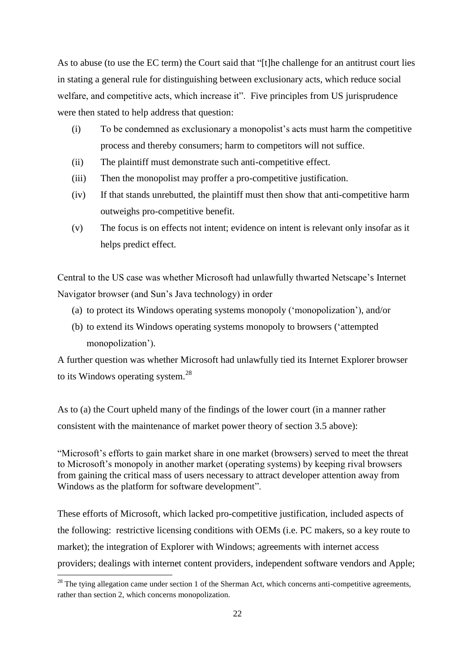As to abuse (to use the EC term) the Court said that "[t]he challenge for an antitrust court lies in stating a general rule for distinguishing between exclusionary acts, which reduce social welfare, and competitive acts, which increase it". Five principles from US jurisprudence were then stated to help address that question:

- (i) To be condemned as exclusionary a monopolist"s acts must harm the competitive process and thereby consumers; harm to competitors will not suffice.
- (ii) The plaintiff must demonstrate such anti-competitive effect.
- (iii) Then the monopolist may proffer a pro-competitive justification.
- (iv) If that stands unrebutted, the plaintiff must then show that anti-competitive harm outweighs pro-competitive benefit.
- (v) The focus is on effects not intent; evidence on intent is relevant only insofar as it helps predict effect.

Central to the US case was whether Microsoft had unlawfully thwarted Netscape"s Internet Navigator browser (and Sun"s Java technology) in order

- (a) to protect its Windows operating systems monopoly ("monopolization"), and/or
- (b) to extend its Windows operating systems monopoly to browsers ("attempted monopolization').

A further question was whether Microsoft had unlawfully tied its Internet Explorer browser to its Windows operating system.<sup>28</sup>

As to (a) the Court upheld many of the findings of the lower court (in a manner rather consistent with the maintenance of market power theory of section 3.5 above):

"Microsoft"s efforts to gain market share in one market (browsers) served to meet the threat to Microsoft"s monopoly in another market (operating systems) by keeping rival browsers from gaining the critical mass of users necessary to attract developer attention away from Windows as the platform for software development".

These efforts of Microsoft, which lacked pro-competitive justification, included aspects of the following: restrictive licensing conditions with OEMs (i.e. PC makers, so a key route to market); the integration of Explorer with Windows; agreements with internet access providers; dealings with internet content providers, independent software vendors and Apple;

**<sup>.</sup>**  $^{28}$  The tying allegation came under section 1 of the Sherman Act, which concerns anti-competitive agreements, rather than section 2, which concerns monopolization.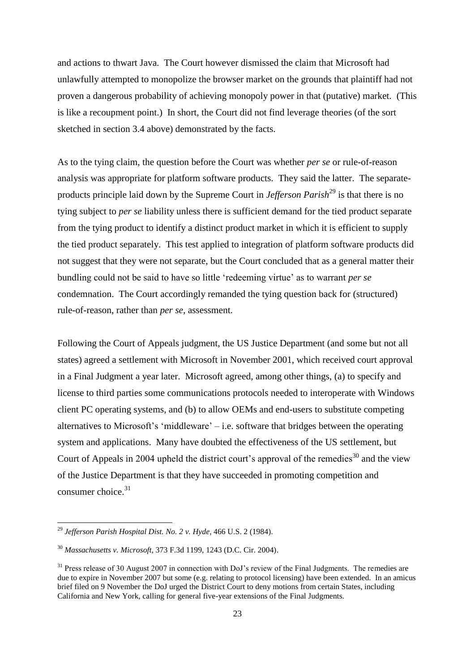and actions to thwart Java. The Court however dismissed the claim that Microsoft had unlawfully attempted to monopolize the browser market on the grounds that plaintiff had not proven a dangerous probability of achieving monopoly power in that (putative) market. (This is like a recoupment point.) In short, the Court did not find leverage theories (of the sort sketched in section 3.4 above) demonstrated by the facts.

As to the tying claim, the question before the Court was whether *per se* or rule-of-reason analysis was appropriate for platform software products. They said the latter. The separateproducts principle laid down by the Supreme Court in *Jefferson Parish*<sup>29</sup> is that there is no tying subject to *per se* liability unless there is sufficient demand for the tied product separate from the tying product to identify a distinct product market in which it is efficient to supply the tied product separately. This test applied to integration of platform software products did not suggest that they were not separate, but the Court concluded that as a general matter their bundling could not be said to have so little "redeeming virtue" as to warrant *per se*  condemnation. The Court accordingly remanded the tying question back for (structured) rule-of-reason, rather than *per se*, assessment.

Following the Court of Appeals judgment, the US Justice Department (and some but not all states) agreed a settlement with Microsoft in November 2001, which received court approval in a Final Judgment a year later. Microsoft agreed, among other things, (a) to specify and license to third parties some communications protocols needed to interoperate with Windows client PC operating systems, and (b) to allow OEMs and end-users to substitute competing alternatives to Microsoft's 'middleware'  $-$  i.e. software that bridges between the operating system and applications. Many have doubted the effectiveness of the US settlement, but Court of Appeals in 2004 upheld the district court's approval of the remedies<sup>30</sup> and the view of the Justice Department is that they have succeeded in promoting competition and consumer choice. 31

<sup>29</sup> *Jefferson Parish Hospital Dist. No. 2 v. Hyde,* 466 U.S. 2 (1984).

<sup>30</sup> *Massachusetts v. Microsoft*, 373 F.3d 1199, 1243 (D.C. Cir. 2004).

<sup>&</sup>lt;sup>31</sup> Press release of 30 August 2007 in connection with DoJ's review of the Final Judgments. The remedies are due to expire in November 2007 but some (e.g. relating to protocol licensing) have been extended. In an amicus brief filed on 9 November the DoJ urged the District Court to deny motions from certain States, including California and New York, calling for general five-year extensions of the Final Judgments.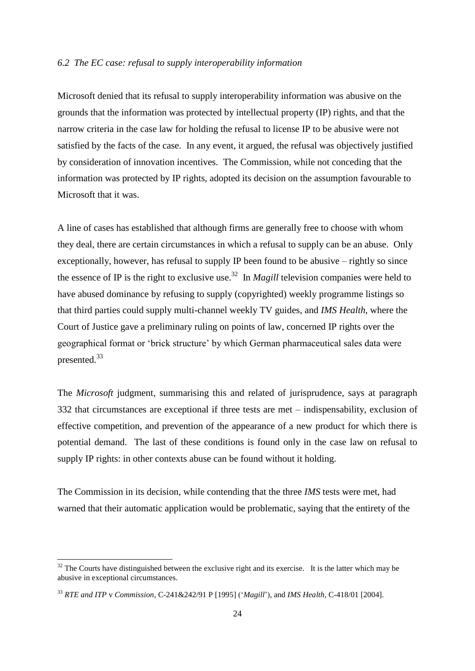#### *6.2 The EC case: refusal to supply interoperability information*

Microsoft denied that its refusal to supply interoperability information was abusive on the grounds that the information was protected by intellectual property (IP) rights, and that the narrow criteria in the case law for holding the refusal to license IP to be abusive were not satisfied by the facts of the case. In any event, it argued, the refusal was objectively justified by consideration of innovation incentives. The Commission, while not conceding that the information was protected by IP rights, adopted its decision on the assumption favourable to Microsoft that it was.

A line of cases has established that although firms are generally free to choose with whom they deal, there are certain circumstances in which a refusal to supply can be an abuse. Only exceptionally, however, has refusal to supply IP been found to be abusive – rightly so since the essence of IP is the right to exclusive use.<sup>32</sup> In *Magill* television companies were held to have abused dominance by refusing to supply (copyrighted) weekly programme listings so that third parties could supply multi-channel weekly TV guides, and *IMS Health*, where the Court of Justice gave a preliminary ruling on points of law, concerned IP rights over the geographical format or "brick structure" by which German pharmaceutical sales data were presented. 33

The *Microsoft* judgment, summarising this and related of jurisprudence, says at paragraph 332 that circumstances are exceptional if three tests are met – indispensability, exclusion of effective competition, and prevention of the appearance of a new product for which there is potential demand. The last of these conditions is found only in the case law on refusal to supply IP rights: in other contexts abuse can be found without it holding.

The Commission in its decision, while contending that the three *IMS* tests were met, had warned that their automatic application would be problematic, saying that the entirety of the

 $32$  The Courts have distinguished between the exclusive right and its exercise. It is the latter which may be abusive in exceptional circumstances.

<sup>33</sup> *RTE and ITP* v *Commission*, C-241&242/91 P [1995] ("*Magill*"), and *IMS Health*, C-418/01 [2004].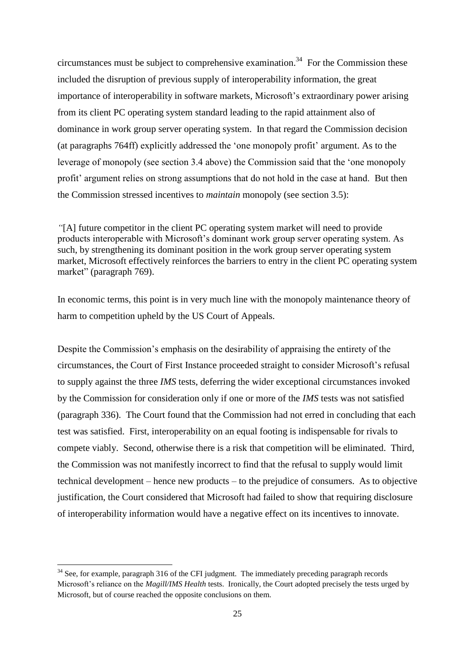circumstances must be subject to comprehensive examination.<sup>34</sup> For the Commission these included the disruption of previous supply of interoperability information, the great importance of interoperability in software markets, Microsoft's extraordinary power arising from its client PC operating system standard leading to the rapid attainment also of dominance in work group server operating system. In that regard the Commission decision (at paragraphs 764ff) explicitly addressed the "one monopoly profit" argument. As to the leverage of monopoly (see section 3.4 above) the Commission said that the "one monopoly profit' argument relies on strong assumptions that do not hold in the case at hand. But then the Commission stressed incentives to *maintain* monopoly (see section 3.5):

*"*[A] future competitor in the client PC operating system market will need to provide products interoperable with Microsoft"s dominant work group server operating system. As such, by strengthening its dominant position in the work group server operating system market, Microsoft effectively reinforces the barriers to entry in the client PC operating system market" (paragraph 769).

In economic terms, this point is in very much line with the monopoly maintenance theory of harm to competition upheld by the US Court of Appeals.

Despite the Commission's emphasis on the desirability of appraising the entirety of the circumstances, the Court of First Instance proceeded straight to consider Microsoft"s refusal to supply against the three *IMS* tests, deferring the wider exceptional circumstances invoked by the Commission for consideration only if one or more of the *IMS* tests was not satisfied (paragraph 336). The Court found that the Commission had not erred in concluding that each test was satisfied. First, interoperability on an equal footing is indispensable for rivals to compete viably. Second, otherwise there is a risk that competition will be eliminated. Third, the Commission was not manifestly incorrect to find that the refusal to supply would limit technical development – hence new products – to the prejudice of consumers. As to objective justification, the Court considered that Microsoft had failed to show that requiring disclosure of interoperability information would have a negative effect on its incentives to innovate.

 $34$  See, for example, paragraph 316 of the CFI judgment. The immediately preceding paragraph records Microsoft"s reliance on the *Magill/IMS Health* tests. Ironically, the Court adopted precisely the tests urged by Microsoft, but of course reached the opposite conclusions on them.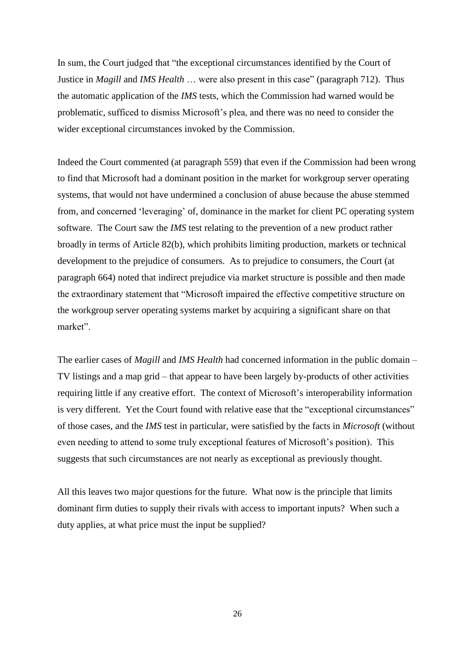In sum, the Court judged that "the exceptional circumstances identified by the Court of Justice in *Magill* and *IMS Health* … were also present in this case" (paragraph 712). Thus the automatic application of the *IMS* tests, which the Commission had warned would be problematic, sufficed to dismiss Microsoft"s plea, and there was no need to consider the wider exceptional circumstances invoked by the Commission.

Indeed the Court commented (at paragraph 559) that even if the Commission had been wrong to find that Microsoft had a dominant position in the market for workgroup server operating systems, that would not have undermined a conclusion of abuse because the abuse stemmed from, and concerned "leveraging" of, dominance in the market for client PC operating system software. The Court saw the *IMS* test relating to the prevention of a new product rather broadly in terms of Article 82(b), which prohibits limiting production, markets or technical development to the prejudice of consumers. As to prejudice to consumers, the Court (at paragraph 664) noted that indirect prejudice via market structure is possible and then made the extraordinary statement that "Microsoft impaired the effective competitive structure on the workgroup server operating systems market by acquiring a significant share on that market".

The earlier cases of *Magill* and *IMS Health* had concerned information in the public domain – TV listings and a map grid – that appear to have been largely by-products of other activities requiring little if any creative effort. The context of Microsoft's interoperability information is very different. Yet the Court found with relative ease that the "exceptional circumstances" of those cases, and the *IMS* test in particular, were satisfied by the facts in *Microsoft* (without even needing to attend to some truly exceptional features of Microsoft's position). This suggests that such circumstances are not nearly as exceptional as previously thought.

All this leaves two major questions for the future. What now is the principle that limits dominant firm duties to supply their rivals with access to important inputs? When such a duty applies, at what price must the input be supplied?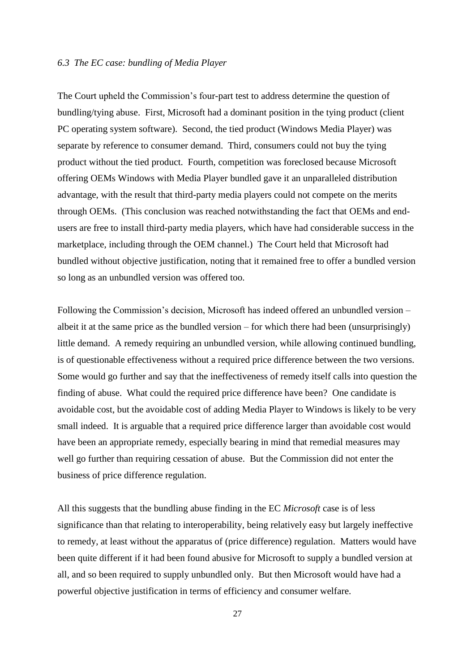### *6.3 The EC case: bundling of Media Player*

The Court upheld the Commission's four-part test to address determine the question of bundling/tying abuse. First, Microsoft had a dominant position in the tying product (client PC operating system software). Second, the tied product (Windows Media Player) was separate by reference to consumer demand. Third, consumers could not buy the tying product without the tied product. Fourth, competition was foreclosed because Microsoft offering OEMs Windows with Media Player bundled gave it an unparalleled distribution advantage, with the result that third-party media players could not compete on the merits through OEMs. (This conclusion was reached notwithstanding the fact that OEMs and endusers are free to install third-party media players, which have had considerable success in the marketplace, including through the OEM channel.) The Court held that Microsoft had bundled without objective justification, noting that it remained free to offer a bundled version so long as an unbundled version was offered too.

Following the Commission's decision, Microsoft has indeed offered an unbundled version – albeit it at the same price as the bundled version – for which there had been (unsurprisingly) little demand. A remedy requiring an unbundled version, while allowing continued bundling, is of questionable effectiveness without a required price difference between the two versions. Some would go further and say that the ineffectiveness of remedy itself calls into question the finding of abuse. What could the required price difference have been? One candidate is avoidable cost, but the avoidable cost of adding Media Player to Windows is likely to be very small indeed. It is arguable that a required price difference larger than avoidable cost would have been an appropriate remedy, especially bearing in mind that remedial measures may well go further than requiring cessation of abuse. But the Commission did not enter the business of price difference regulation.

All this suggests that the bundling abuse finding in the EC *Microsoft* case is of less significance than that relating to interoperability, being relatively easy but largely ineffective to remedy, at least without the apparatus of (price difference) regulation. Matters would have been quite different if it had been found abusive for Microsoft to supply a bundled version at all, and so been required to supply unbundled only. But then Microsoft would have had a powerful objective justification in terms of efficiency and consumer welfare.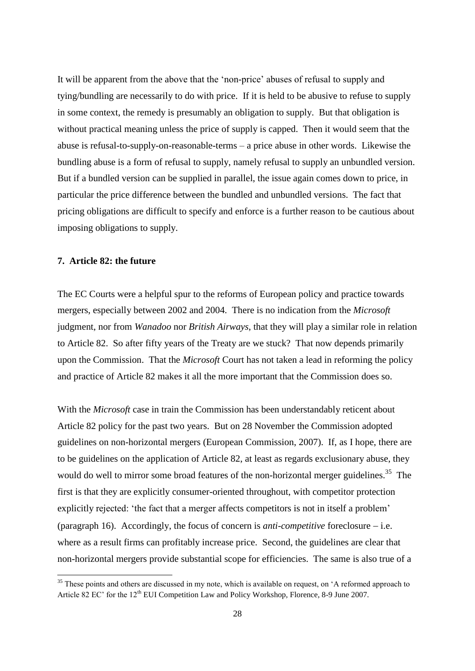It will be apparent from the above that the "non-price" abuses of refusal to supply and tying/bundling are necessarily to do with price. If it is held to be abusive to refuse to supply in some context, the remedy is presumably an obligation to supply. But that obligation is without practical meaning unless the price of supply is capped. Then it would seem that the abuse is refusal-to-supply-on-reasonable-terms – a price abuse in other words. Likewise the bundling abuse is a form of refusal to supply, namely refusal to supply an unbundled version. But if a bundled version can be supplied in parallel, the issue again comes down to price, in particular the price difference between the bundled and unbundled versions. The fact that pricing obligations are difficult to specify and enforce is a further reason to be cautious about imposing obligations to supply.

# **7. Article 82: the future**

**.** 

The EC Courts were a helpful spur to the reforms of European policy and practice towards mergers, especially between 2002 and 2004. There is no indication from the *Microsoft*  judgment, nor from *Wanadoo* nor *British Airways*, that they will play a similar role in relation to Article 82. So after fifty years of the Treaty are we stuck? That now depends primarily upon the Commission. That the *Microsoft* Court has not taken a lead in reforming the policy and practice of Article 82 makes it all the more important that the Commission does so.

With the *Microsoft* case in train the Commission has been understandably reticent about Article 82 policy for the past two years. But on 28 November the Commission adopted guidelines on non-horizontal mergers (European Commission, 2007). If, as I hope, there are to be guidelines on the application of Article 82, at least as regards exclusionary abuse, they would do well to mirror some broad features of the non-horizontal merger guidelines.<sup>35</sup> The first is that they are explicitly consumer-oriented throughout, with competitor protection explicitly rejected: "the fact that a merger affects competitors is not in itself a problem" (paragraph 16). Accordingly, the focus of concern is *anti-competitive* foreclosure  $-$  i.e. where as a result firms can profitably increase price. Second, the guidelines are clear that non-horizontal mergers provide substantial scope for efficiencies. The same is also true of a

<sup>&</sup>lt;sup>35</sup> These points and others are discussed in my note, which is available on request, on 'A reformed approach to Article 82 EC' for the 12<sup>th</sup> EUI Competition Law and Policy Workshop, Florence, 8-9 June 2007.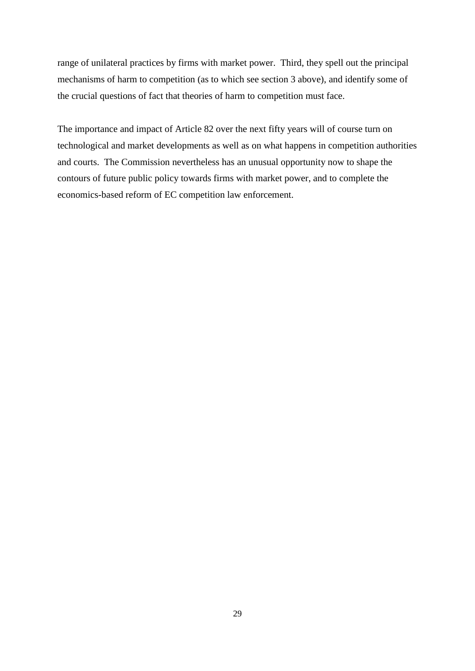range of unilateral practices by firms with market power. Third, they spell out the principal mechanisms of harm to competition (as to which see section 3 above), and identify some of the crucial questions of fact that theories of harm to competition must face.

The importance and impact of Article 82 over the next fifty years will of course turn on technological and market developments as well as on what happens in competition authorities and courts. The Commission nevertheless has an unusual opportunity now to shape the contours of future public policy towards firms with market power, and to complete the economics-based reform of EC competition law enforcement.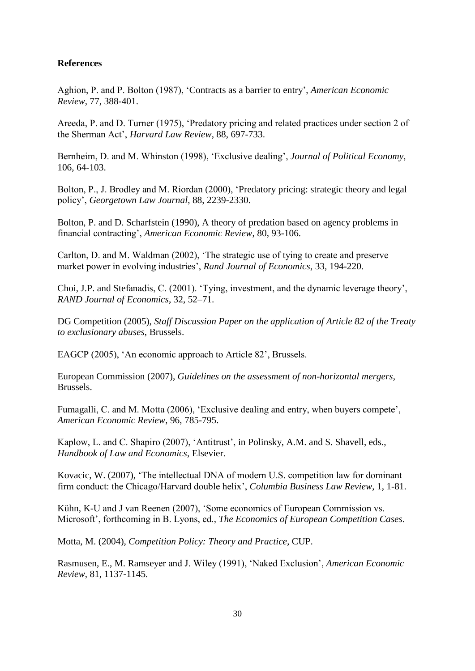## **References**

Aghion, P. and P. Bolton (1987), "Contracts as a barrier to entry", *American Economic Review*, 77, 388-401.

Areeda, P. and D. Turner (1975), "Predatory pricing and related practices under section 2 of the Sherman Act", *Harvard Law Review*, 88, 697-733.

Bernheim, D. and M. Whinston (1998), "Exclusive dealing", *Journal of Political Economy*, 106, 64-103.

Bolton, P., J. Brodley and M. Riordan (2000), "Predatory pricing: strategic theory and legal policy", *Georgetown Law Journal*, 88, 2239-2330.

Bolton, P. and D. Scharfstein (1990), A theory of predation based on agency problems in financial contracting", *American Economic Review*, 80, 93-106.

Carlton, D. and M. Waldman (2002), "The strategic use of tying to create and preserve market power in evolving industries", *Rand Journal of Economics*, 33, 194-220.

Choi, J.P. and Stefanadis, C. (2001). "Tying, investment, and the dynamic leverage theory", *RAND Journal of Economics*, 32, 52–71.

DG Competition (2005), *[Staff Discussion Paper](http://ec.europa.eu/comm/competition/antitrust/art82/discpaper2005.pdf) on the application of Article 82 of the Treaty to exclusionary abuses*, Brussels.

EAGCP (2005), 'An economic approach to Article 82', Brussels.

European Commission (2007), *[Guidelines on the assessment of non-horizontal mergers](http://ec.europa.eu/comm/competition/mergers/legislation/draft_nonhorizontal_mergers.pdf)*, Brussels.

Fumagalli, C. and M. Motta (2006), "Exclusive dealing and entry, when buyers compete", *American Economic Review*, 96, 785-795.

Kaplow, L. and C. Shapiro (2007), 'Antitrust', in Polinsky, A.M. and S. Shavell, eds., *Handbook of Law and Economics*, Elsevier.

Kovacic, W. (2007), "The intellectual DNA of modern U.S. competition law for dominant firm conduct: the Chicago/Harvard double helix", *Columbia Business Law Review*, 1, 1-81.

Kühn, K-U and J van Reenen (2007), "Some economics of European Commission vs. Microsoft", forthcoming in B. Lyons, ed., *The Economics of European Competition Cases*.

Motta, M. (2004), *Competition Policy: Theory and Practice*, CUP.

Rasmusen, E., M. Ramseyer and J. Wiley (1991), "Naked Exclusion", *American Economic Review*, 81, 1137-1145.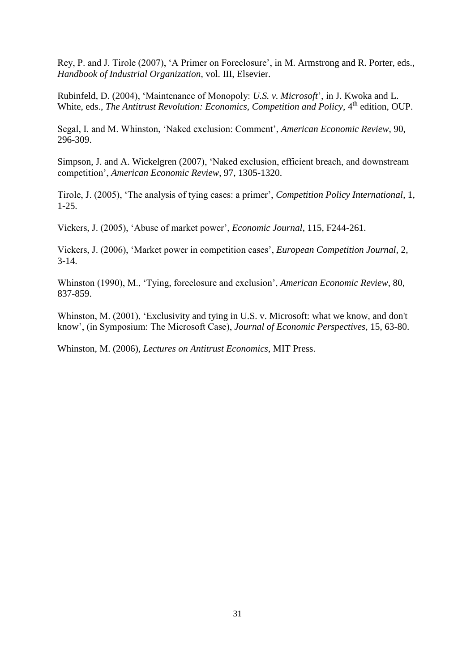Rey, P. and J. Tirole (2007), 'A Primer on Foreclosure', in M. Armstrong and R. Porter, eds., *Handbook of Industrial Organization*, vol. III, Elsevier.

Rubinfeld, D. (2004), "Maintenance of Monopoly: *U.S. v. Microsoft*", in J. Kwoka and L. White, eds., *The Antitrust Revolution: Economics, Competition and Policy*, 4<sup>th</sup> edition. OUP.

Segal, I. and M. Whinston, "Naked exclusion: Comment", *American Economic Review*, 90, 296-309.

Simpson, J. and A. Wickelgren (2007), "Naked exclusion, efficient breach, and downstream competition", *American Economic Review*, 97, 1305-1320.

Tirole, J. (2005), "The analysis of tying cases: a primer", *Competition Policy International*, 1, 1-25.

Vickers, J. (2005), "Abuse of market power", *Economic Journal*, 115, F244-261.

Vickers, J. (2006), "Market power in competition cases", *European Competition Journal*, 2, 3-14.

Whinston (1990), M., "Tying, foreclosure and exclusion", *American Economic Review*, 80, 837-859.

Whinston, M. (2001), "Exclusivity and tying in U.S. v. Microsoft: what we know, and don't know", (in Symposium: The Microsoft Case), *Journal of Economic Perspectives*, 15, 63-80.

Whinston, M. (2006), *Lectures on Antitrust Economics*, MIT Press.